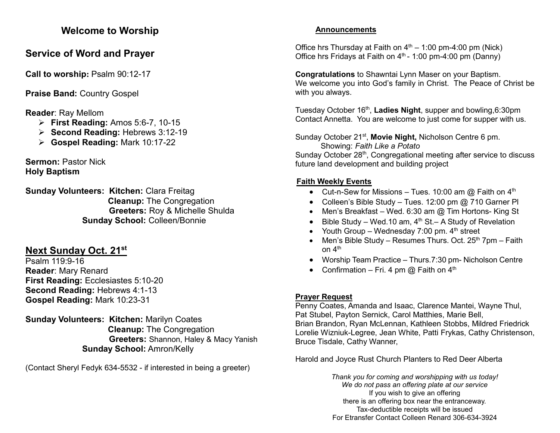## **Welcome to Worship**

# **Service of Word and Prayer**

**Call to worship: Psalm 90:12-17** 

**Praise Band:** Country Gospel

**Reader**: Ray Mellom

- ➢ **First Reading:** Amos 5:6-7, 10-15
- ➢ **Second Reading:** Hebrews 3:12-19
- ➢ **Gospel Reading:** Mark 10:17-22

**Sermon:** Pastor Nick **Holy Baptism**

**Sunday Volunteers: Kitchen:** Clara Freitag **Cleanup:** The Congregation **Greeters:** Roy & Michelle Shulda **Sunday School:** Colleen/Bonnie

## **Next Sunday Oct. 21st**

Psalm 119:9-16 **Reader**: Mary Renard **First Reading:** Ecclesiastes 5:10-20 **Second Reading: Hebrews 4:1-13 Gospel Reading:** Mark 10:23-31

**Sunday Volunteers: Kitchen:** Marilyn Coates **Cleanup:** The Congregation **Greeters:** Shannon, Haley & Macy Yanish **Sunday School:** Amron/Kelly

(Contact Sheryl Fedyk 634-5532 - if interested in being a greeter)

#### **Announcements**

Office hrs Thursday at Faith on  $4<sup>th</sup> - 1:00$  pm-4:00 pm (Nick) Office hrs Fridays at Faith on  $4<sup>th</sup>$  - 1:00 pm-4:00 pm (Danny)

**Congratulations** to Shawntai Lynn Maser on your Baptism. We welcome you into God's family in Christ. The Peace of Christ be with you always.

Tuesday October 16<sup>th</sup>, Ladies Night, supper and bowling,6:30pm Contact Annetta. You are welcome to just come for supper with us.

Sunday October 21<sup>st</sup>, Movie Night, Nicholson Centre 6 pm. Showing: *Faith Like a Potato*

Sunday October 28<sup>th</sup>, Congregational meeting after service to discuss future land development and building project

#### **Faith Weekly Events**

- Cut-n-Sew for Missions Tues. 10:00 am  $@$  Faith on  $4<sup>th</sup>$
- Colleen's Bible Study Tues. 12:00 pm @ 710 Garner Pl
- Men's Breakfast Wed. 6:30 am @ Tim Hortons- King St
- Bible Study Wed.10 am,  $4<sup>th</sup>$  St.– A Study of Revelation
- Youth Group Wednesday 7:00 pm.  $4<sup>th</sup>$  street
- Men's Bible Study Resumes Thurs. Oct.  $25<sup>th</sup>$  7pm Faith on 4<sup>th</sup>
- Worship Team Practice Thurs.7:30 pm- Nicholson Centre
- Confirmation Fri. 4 pm  $@$  Faith on  $4<sup>th</sup>$

## **Prayer Request**

Penny Coates, Amanda and Isaac, Clarence Mantei, Wayne Thul, Pat Stubel, Payton Sernick, Carol Matthies, Marie Bell, Brian Brandon, Ryan McLennan, Kathleen Stobbs, Mildred Friedrick Lorelie Wizniuk-Legree, Jean White, Patti Frykas, Cathy Christenson, Bruce Tisdale, Cathy Wanner,

Harold and Joyce Rust Church Planters to Red Deer Alberta

*Thank you for coming and worshipping with us today! We do not pass an offering plate at our service* If you wish to give an offering there is an offering box near the entranceway. Tax-deductible receipts will be issued For Etransfer Contact Colleen Renard 306-634-3924